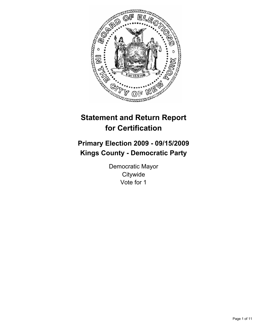

# **Statement and Return Report for Certification**

# **Primary Election 2009 - 09/15/2009 Kings County - Democratic Party**

Democratic Mayor **Citywide** Vote for 1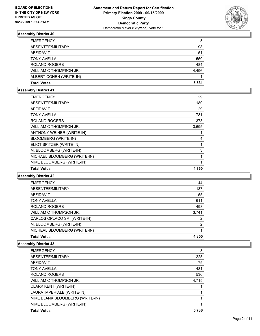

| <b>EMERGENCY</b>        | 5     |
|-------------------------|-------|
| ABSENTEE/MILITARY       | 98    |
| AFFIDAVIT               | 51    |
| <b>TONY AVELLA</b>      | 550   |
| <b>ROLAND ROGERS</b>    | 484   |
| WILLIAM C THOMPSON JR.  | 4.496 |
| ALBERT COHEN (WRITE-IN) |       |
| <b>Total Votes</b>      | 5.531 |

# **Assembly District 41**

| <b>EMERGENCY</b>             | 29    |
|------------------------------|-------|
| ABSENTEE/MILITARY            | 180   |
| <b>AFFIDAVIT</b>             | 29    |
| <b>TONY AVELLA</b>           | 781   |
| <b>ROLAND ROGERS</b>         | 373   |
| WILLIAM C THOMPSON JR.       | 3,695 |
| ANTHONY WEINER (WRITE-IN)    | 1     |
| BLOOMBERG (WRITE-IN)         | 4     |
| ELIOT SPITZER (WRITE-IN)     | 1     |
| M. BLOOMBERG (WRITE-IN)      | 3     |
| MICHAEL BLOOMBERG (WRITE-IN) | 1     |
| MIKE BLOOMBERG (WRITE-IN)    |       |
| <b>Total Votes</b>           | 4,860 |
|                              |       |

#### **Assembly District 42**

| <b>EMERGENCY</b>             | 44    |
|------------------------------|-------|
| ABSENTEE/MILITARY            | 137   |
| <b>AFFIDAVIT</b>             | 55    |
| <b>TONY AVELLA</b>           | 611   |
| <b>ROLAND ROGERS</b>         | 498   |
| WILLIAM C THOMPSON JR.       | 3,741 |
| CARLOS OPLACO SR. (WRITE-IN) | 2     |
| M. BLOOMBERG (WRITE-IN)      | 2     |
| MICHEAL BLOOMBERG (WRITE-IN) |       |
| <b>Total Votes</b>           | 4.855 |

| <b>Total Votes</b>              | 5.736 |
|---------------------------------|-------|
| MIKE BLOOMBERG (WRITE-IN)       |       |
| MIKE BLANK BLOOMBERG (WRITE-IN) |       |
| LAURA IMPERIALE (WRITE-IN)      |       |
| <b>CLARK KENT (WRITE-IN)</b>    |       |
| WILLIAM C THOMPSON JR.          | 4.715 |
| <b>ROLAND ROGERS</b>            | 536   |
| <b>TONY AVELLA</b>              | 481   |
| AFFIDAVIT                       | 75    |
| ABSENTEE/MILITARY               | 225   |
| <b>EMERGENCY</b>                | 8     |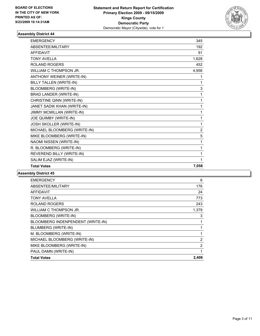

| <b>EMERGENCY</b>              | 345   |
|-------------------------------|-------|
| <b>ABSENTEE/MILITARY</b>      | 192   |
| <b>AFFIDAVIT</b>              | 91    |
| <b>TONY AVELLA</b>            | 1,628 |
| <b>ROLAND ROGERS</b>          | 452   |
| WILLIAM C THOMPSON JR.        | 4,956 |
| ANTHONY WEINER (WRITE-IN)     | 1     |
| BILLY TALLEN (WRITE-IN)       | 1     |
| BLOOMBERG (WRITE-IN)          | 3     |
| <b>BRAD LANDER (WRITE-IN)</b> | 1     |
| CHRISTINE QINN (WRITE-IN)     | 1     |
| JANET SADIK KHAN (WRITE-IN)   | 1     |
| JIMMY MCMILLAN (WRITE-IN)     | 1     |
| JOE QUIMBY (WRITE-IN)         | 1     |
| JOSH SKOLLER (WRITE-IN)       | 1     |
| MICHAEL BLOOMBERG (WRITE-IN)  | 2     |
| MIKE BLOOMBERG (WRITE-IN)     | 5     |
| NAOMI NISSEN (WRITE-IN)       | 1     |
| R. BLOOMBERG (WRITE-IN)       | 1     |
| REVEREND BILLY (WRITE-IN)     | 1     |
| SALIM EJAZ (WRITE-IN)         | 1     |
| <b>Total Votes</b>            | 7,058 |

| <b>EMERGENCY</b>                  | 6              |
|-----------------------------------|----------------|
| ABSENTEE/MILITARY                 | 176            |
| AFFIDAVIT                         | 24             |
| <b>TONY AVELLA</b>                | 773            |
| <b>ROLAND ROGERS</b>              | 243            |
| WILLIAM C THOMPSON JR.            | 1,379          |
| BLOOMBERG (WRITE-IN)              | 3              |
| BLOOMBERG INDENPENDENT (WRITE-IN) | 1              |
| BLUMBERG (WRITE-IN)               | 1              |
| M. BLOOMBERG (WRITE-IN)           | 1              |
| MICHAEL BLOOMBERG (WRITE-IN)      | 2              |
| MIKE BLOOMBERG (WRITE-IN)         | $\overline{2}$ |
| PAUL DAMN (WRITE-IN)              | 1              |
| <b>Total Votes</b>                | 2,406          |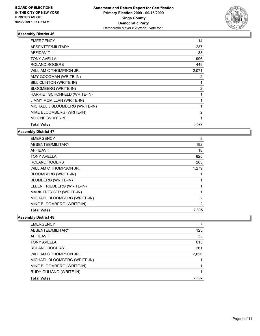

| <b>EMERGENCY</b>                 | 14             |
|----------------------------------|----------------|
| ABSENTEE/MILITARY                | 237            |
| <b>AFFIDAVIT</b>                 | 38             |
| TONY AVELLA                      | 996            |
| ROLAND ROGERS                    | 449            |
| WILLIAM C THOMPSON JR.           | 2,071          |
| AMY GOODMAN (WRITE-IN)           | 2              |
| BILL CLINTON (WRITE-IN)          | 1              |
| <b>BLOOMBERG (WRITE-IN)</b>      | $\overline{2}$ |
| HARRIET SCHONFELD (WRITE-IN)     | 1              |
| <b>JIMMY MCMILLAN (WRITE-IN)</b> | 1              |
| MICHAEL J BLOOMBERG (WRITE-IN)   | 1              |
| MIKE BLOOMBERG (WRITE-IN)        | 2              |
| NO ONE (WRITE-IN)                | 1              |
| <b>Total Votes</b>               | 3,527          |

#### **Assembly District 47**

| <b>EMERGENCY</b>             | 8              |
|------------------------------|----------------|
| ABSENTEE/MILITARY            | 192            |
| <b>AFFIDAVIT</b>             | 18             |
| <b>TONY AVELLA</b>           | 825            |
| <b>ROLAND ROGERS</b>         | 283            |
| WILLIAM C THOMPSON JR.       | 1,279          |
| BLOOMBERG (WRITE-IN)         |                |
| BLUMBERG (WRITE-IN)          |                |
| ELLEN FRIEDBERG (WRITE-IN)   |                |
| MARK TREYGER (WRITE-IN)      | 1              |
| MICHAEL BLOOMBERG (WRITE-IN) | 2              |
| MIKE BLOOMBERG (WRITE-IN)    | $\overline{2}$ |
| <b>Total Votes</b>           | 2,395          |

| 125   |
|-------|
| 35    |
| 613   |
| 261   |
| 2,020 |
|       |
|       |
|       |
| 2.897 |
|       |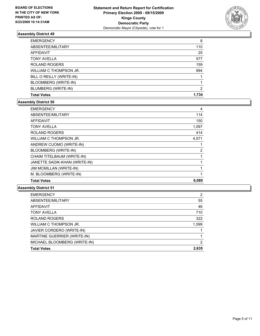

| <b>EMERGENCY</b>         | 8     |
|--------------------------|-------|
| ABSENTEE/MILITARY        | 110   |
| <b>AFFIDAVIT</b>         | 25    |
| <b>TONY AVELLA</b>       | 577   |
| <b>ROLAND ROGERS</b>     | 159   |
| WILLIAM C THOMPSON JR.   | 994   |
| BILL O REILLY (WRITE-IN) |       |
| BLOOMBERG (WRITE-IN)     |       |
| BLUMBERG (WRITE-IN)      | 2     |
| <b>Total Votes</b>       | 1.734 |

#### **Assembly District 50**

| <b>Total Votes</b>             | 6,089 |
|--------------------------------|-------|
| M. BLOOMBERG (WRITE-IN)        | 1     |
| <b>JIM MCMILLAN (WRITE-IN)</b> |       |
| JANETTE SADIK-KHAN (WRITE-IN)  |       |
| CHAIM TITELBAUM (WRITE-IN)     | 1     |
| BLOOMBERG (WRITE-IN)           | 2     |
| ANDREW CUOMO (WRITE-IN)        |       |
| WILLIAM C THOMPSON JR.         | 4,571 |
| <b>ROLAND ROGERS</b>           | 414   |
| <b>TONY AVELLA</b>             | 1,097 |
| <b>AFFIDAVIT</b>               | 150   |
| ABSENTEE/MILITARY              | 114   |
| <b>EMERGENCY</b>               | 4     |

| <b>EMERGENCY</b>                   | 2     |
|------------------------------------|-------|
| ABSENTEE/MILITARY                  | 55    |
| <b>AFFIDAVIT</b>                   | 46    |
| <b>TONY AVELLA</b>                 | 710   |
| <b>ROLAND ROGERS</b>               | 322   |
| WILLIAM C THOMPSON JR.             | 1,599 |
| JAVIER CORDERO (WRITE-IN)          |       |
| <b>MARTINE GUERRIER (WRITE-IN)</b> |       |
| MICHAEL BLOOMBERG (WRITE-IN)       | 2     |
| <b>Total Votes</b>                 | 2,635 |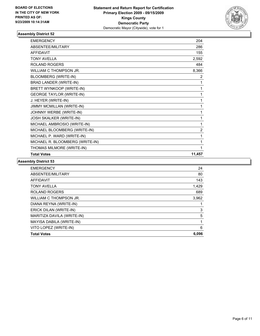

| <b>EMERGENCY</b>                 | 204            |
|----------------------------------|----------------|
| ABSENTEE/MILITARY                | 286            |
| <b>AFFIDAVIT</b>                 | 155            |
| <b>TONY AVELLA</b>               | 2,592          |
| <b>ROLAND ROGERS</b>             | 484            |
| WILLIAM C THOMPSON JR.           | 8,366          |
| BLOOMBERG (WRITE-IN)             | 2              |
| BRAD LANDER (WRITE-IN)           | 1              |
| BRETT WYNKOOP (WRITE-IN)         | 1              |
| <b>GEORGE TAYLOR (WRITE-IN)</b>  |                |
| J. HEYER (WRITE-IN)              | 1              |
| <b>JIMMY MCMILLAN (WRITE-IN)</b> | 1              |
| JOHNNY WERBE (WRITE-IN)          | 1              |
| JOSH SKALKER (WRITE-IN)          | 1              |
| MICHAEL AMBROSIO (WRITE-IN)      | 1              |
| MICHAEL BLOOMBERG (WRITE-IN)     | $\overline{2}$ |
| MICHAEL P. WARD (WRITE-IN)       |                |
| MICHAEL R. BLOOMBERG (WRITE-IN)  | 1              |
| THOMAS MILMORE (WRITE-IN)        |                |
| <b>Total Votes</b>               | 11,457         |

| <b>EMERGENCY</b>           | 24    |
|----------------------------|-------|
| ABSENTEE/MILITARY          | 80    |
| <b>AFFIDAVIT</b>           | 143   |
| <b>TONY AVELLA</b>         | 1,429 |
| <b>ROLAND ROGERS</b>       | 689   |
| WILLIAM C THOMPSON JR.     | 3,962 |
| DIANA REYNA (WRITE-IN)     |       |
| ERICK DILAN (WRITE-IN)     | 3     |
| MARITIZA DAVILA (WRITE-IN) | 5     |
| MAYISA DABILA (WRITE-IN)   |       |
| VITO LOPEZ (WRITE-IN)      | 6     |
| <b>Total Votes</b>         | 6,096 |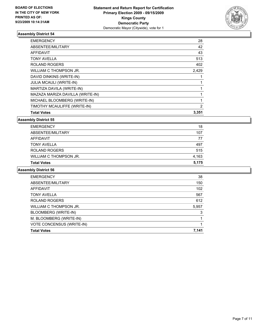

| <b>EMERGENCY</b>                 | 28             |
|----------------------------------|----------------|
| ABSENTEE/MILITARY                | 42             |
| AFFIDAVIT                        | 43             |
| <b>TONY AVELLA</b>               | 513            |
| ROLAND ROGERS                    | 402            |
| WILLIAM C THOMPSON JR.           | 2,429          |
| DAVID DINKINS (WRITE-IN)         |                |
| <b>JULIA MCAULI (WRITE-IN)</b>   |                |
| MARTIZA DAVILA (WRITE-IN)        | 1              |
| MAZAZA MARIZA DAVILLA (WRITE-IN) |                |
| MICHAEL BLOOMBERG (WRITE-IN)     | 1              |
| TIMOTHY MCAULIFFE (WRITE-IN)     | $\overline{2}$ |
| <b>Total Votes</b>               | 3,351          |

#### **Assembly District 55**

| <b>EMERGENCY</b>       | 18    |
|------------------------|-------|
| ABSENTEE/MILITARY      | 107   |
| AFFIDAVIT              | 77    |
| <b>TONY AVELLA</b>     | 497   |
| <b>ROLAND ROGERS</b>   | 515   |
| WILLIAM C THOMPSON JR. | 4,163 |
| <b>Total Votes</b>     | 5.175 |

| <b>EMERGENCY</b>          | 38    |
|---------------------------|-------|
| ABSENTEE/MILITARY         | 150   |
| <b>AFFIDAVIT</b>          | 102   |
| <b>TONY AVELLA</b>        | 567   |
| <b>ROLAND ROGERS</b>      | 612   |
| WILLIAM C THOMPSON JR.    | 5,957 |
| BLOOMBERG (WRITE-IN)      | 3     |
| M. BLOOMBERG (WRITE-IN)   |       |
| VOTE CONCENSUS (WRITE-IN) |       |
| <b>Total Votes</b>        | 7,141 |
|                           |       |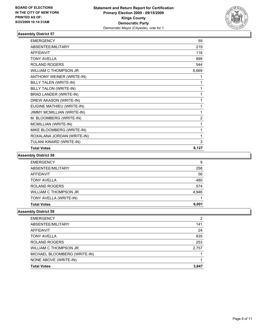

| <b>EMERGENCY</b>              | 59             |
|-------------------------------|----------------|
| <b>ABSENTEE/MILITARY</b>      | 219            |
| <b>AFFIDAVIT</b>              | 118            |
| <b>TONY AVELLA</b>            | 899            |
| ROLAND ROGERS                 | 544            |
| WILLIAM C THOMPSON JR.        | 6,669          |
| ANTHONY WEINER (WRITE-IN)     | 1              |
| BILLY TALEN (WRITE-IN)        | 1              |
| <b>BILLY TALON (WRITE-IN)</b> | 1              |
| <b>BRAD LANDER (WRITE-IN)</b> | 1              |
| DREW AKASON (WRITE-IN)        | 1              |
| EUGINE MATHIEU (WRITE-IN)     | 1              |
| JIMMY MCMILLIAN (WRITE-IN)    | 1              |
| M. BLOOMBERG (WRITE-IN)       | $\overline{2}$ |
| MCMILLIAN (WRITE-IN)          | 1              |
| MIKE BLOOMBERG (WRITE-IN)     | 1              |
| ROXALANA JORDAN (WRITE-IN)    | 1              |
| TULANI KINARD (WRITE-IN)      | 3              |
| <b>Total Votes</b>            | 8,127          |

#### **Assembly District 58**

| <b>Total Votes</b>     | 6.001 |
|------------------------|-------|
| TONY AVELLA (WRITE-IN) |       |
| WILLIAM C THOMPSON JR. | 4,946 |
| <b>ROLAND ROGERS</b>   | 574   |
| <b>TONY AVELLA</b>     | 480   |
| <b>AFFIDAVIT</b>       | 56    |
| ABSENTEE/MILITARY      | 258   |
| <b>EMERGENCY</b>       | 9     |

| <b>EMERGENCY</b>             | 2     |
|------------------------------|-------|
| ABSENTEE/MILITARY            | 141   |
| <b>AFFIDAVIT</b>             | 24    |
| <b>TONY AVELLA</b>           | 835   |
| <b>ROLAND ROGERS</b>         | 253   |
| WILLIAM C THOMPSON JR.       | 2,757 |
| MICHAEL BLOOMBERG (WRITE-IN) |       |
| NONE ABOVE (WRITE-IN)        |       |
| <b>Total Votes</b>           | 3.847 |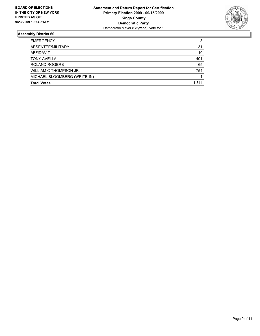

| <b>Total Votes</b>           | 1.311 |
|------------------------------|-------|
| MICHAEL BLOOMBERG (WRITE-IN) |       |
| WILLIAM C THOMPSON JR.       | 754   |
| <b>ROLAND ROGERS</b>         | 65    |
| <b>TONY AVELLA</b>           | 491   |
| AFFIDAVIT                    | 10    |
| ABSENTEE/MILITARY            | 31    |
| <b>EMERGENCY</b>             | 3     |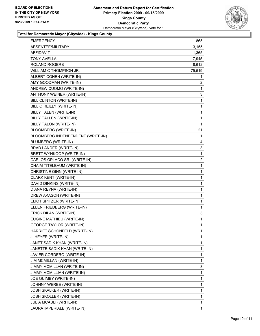

**Total for Democratic Mayor (Citywide) - Kings County**

| EMERGENCY                         | 865            |
|-----------------------------------|----------------|
| ABSENTEE/MILITARY                 | 3,155          |
| AFFIDAVIT                         | 1,365          |
| TONY AVELLA                       | 17,945         |
| <b>ROLAND ROGERS</b>              | 8,612          |
| WILLIAM C THOMPSON JR.            | 75,519         |
| ALBERT COHEN (WRITE-IN)           | 1              |
| AMY GOODMAN (WRITE-IN)            | 2              |
| ANDREW CUOMO (WRITE-IN)           | 1              |
| ANTHONY WEINER (WRITE-IN)         | 3              |
| BILL CLINTON (WRITE-IN)           | 1              |
| BILL O REILLY (WRITE-IN)          | $\mathbf 1$    |
| BILLY TALEN (WRITE-IN)            | 1              |
| BILLY TALLEN (WRITE-IN)           | 1              |
| <b>BILLY TALON (WRITE-IN)</b>     | $\mathbf{1}$   |
| BLOOMBERG (WRITE-IN)              | 21             |
| BLOOMBERG INDENPENDENT (WRITE-IN) | 1              |
| <b>BLUMBERG (WRITE-IN)</b>        | 4              |
| BRAD LANDER (WRITE-IN)            | 3              |
| BRETT WYNKOOP (WRITE-IN)          | 1              |
| CARLOS OPLACO SR. (WRITE-IN)      | $\overline{2}$ |
| CHAIM TITELBAUM (WRITE-IN)        | 1              |
| CHRISTINE QINN (WRITE-IN)         | 1              |
| CLARK KENT (WRITE-IN)             | $\mathbf 1$    |
| DAVID DINKINS (WRITE-IN)          | 1              |
| DIANA REYNA (WRITE-IN)            | 1              |
| DREW AKASON (WRITE-IN)            | 1              |
| ELIOT SPITZER (WRITE-IN)          | 1              |
| ELLEN FRIEDBERG (WRITE-IN)        | $\mathbf 1$    |
| ERICK DILAN (WRITE-IN)            | 3              |
| EUGINE MATHIEU (WRITE-IN)         | 1              |
| <b>GEORGE TAYLOR (WRITE-IN)</b>   | $\mathbf{1}$   |
| HARRIET SCHONFELD (WRITE-IN)      | 1              |
| J. HEYER (WRITE-IN)               | 1              |
| JANET SADIK KHAN (WRITE-IN)       | 1              |
| JANETTE SADIK-KHAN (WRITE-IN)     | 1              |
| JAVIER CORDERO (WRITE-IN)         | 1              |
| JIM MCMILLAN (WRITE-IN)           | 1              |
| JIMMY MCMILLAN (WRITE-IN)         | 3              |
| JIMMY MCMILLIAN (WRITE-IN)        | 1              |
| JOE QUIMBY (WRITE-IN)             | 1              |
| JOHNNY WERBE (WRITE-IN)           | 1              |
| JOSH SKALKER (WRITE-IN)           | 1              |
| JOSH SKOLLER (WRITE-IN)           | 1              |
| JULIA MCAULI (WRITE-IN)           | $\mathbf 1$    |
| LAURA IMPERIALE (WRITE-IN)        | 1              |
|                                   |                |